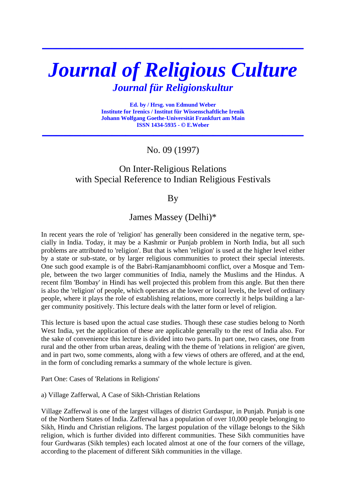# *Journal of Religious Culture Journal für Religionskultur*

**\_\_\_\_\_\_\_\_\_\_\_\_\_\_\_\_\_\_\_\_\_\_\_\_\_\_\_\_\_\_\_\_\_\_\_\_\_\_\_\_\_\_\_\_\_\_\_\_\_\_\_\_\_\_\_\_\_\_\_\_\_\_\_\_\_\_\_\_\_\_\_\_\_\_\_**

**Ed. by / Hrsg. von Edmund Weber Institute for Irenics / Institut für Wissenschaftliche Irenik Johann Wolfgang Goethe-Universität Frankfurt am Main ISSN 1434-5935 - © E.Weber** 

**\_\_\_\_\_\_\_\_\_\_\_\_\_\_\_\_\_\_\_\_\_\_\_\_\_\_\_\_\_\_\_\_\_\_\_\_\_\_\_\_\_\_\_\_\_\_\_\_\_\_\_\_\_\_\_\_\_\_\_\_\_\_\_\_\_\_\_\_\_\_\_\_\_\_\_**

No. 09 (1997)

# On Inter-Religious Relations with Special Reference to Indian Religious Festivals

By

James Massey (Delhi)\*

In recent years the role of 'religion' has generally been considered in the negative term, specially in India. Today, it may be a Kashmir or Punjab problem in North India, but all such problems are attributed to 'religion'. But that is when 'religion' is used at the higher level either by a state or sub-state, or by larger religious communities to protect their special interests. One such good example is of the Babri-Ramjanambhoomi conflict, over a Mosque and Temple, between the two larger communities of India, namely the Muslims and the Hindus. A recent film 'Bombay' in Hindi has well projected this problem from this angle. But then there is also the 'religion' of people, which operates at the lower or local levels, the level of ordinary people, where it plays the role of establishing relations, more correctly it helps building a larger community positively. This lecture deals with the latter form or level of religion.

This lecture is based upon the actual case studies. Though these case studies belong to North West India, yet the application of these are applicable generally to the rest of India also. For the sake of convenience this lecture is divided into two parts. In part one, two cases, one from rural and the other from urban areas, dealing with the theme of 'relations in religion' are given, and in part two, some comments, along with a few views of others are offered, and at the end, in the form of concluding remarks a summary of the whole lecture is given.

Part One: Cases of 'Relations in Religions'

a) Village Zafferwal, A Case of Sikh-Christian Relations

Village Zafferwal is one of the largest villages of district Gurdaspur, in Punjab. Punjab is one of the Northern States of India. Zafferwal has a population of over 10,000 people belonging to Sikh, Hindu and Christian religions. The largest population of the village belongs to the Sikh religion, which is further divided into different communities. These Sikh communities have four Gurdwaras (Sikh temples) each located almost at one of the four corners of the village, according to the placement of different Sikh communities in the village.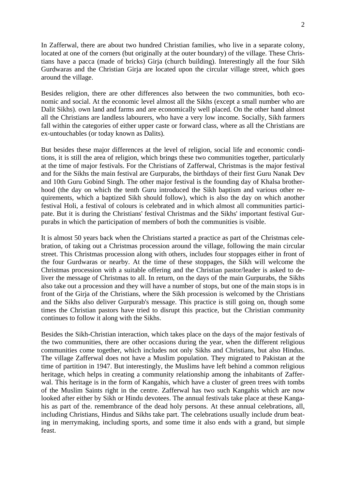In Zafferwal, there are about two hundred Christian families, who live in a separate colony, located at one of the corners (but originally at the outer boundary) of the village. These Christians have a pacca (made of bricks) Girja (church building). Interestingly all the four Sikh Gurdwaras and the Christian Girja are located upon the circular village street, which goes around the village.

Besides religion, there are other differences also between the two communities, both economic and social. At the economic level almost all the Sikhs (except a small number who are Dalit Sikhs). own land and farms and are economically well placed. On the other hand almost all the Christians are landless labourers, who have a very low income. Socially, Sikh farmers fall within the categories of either upper caste or forward class, where as all the Christians are ex-untouchables (or today known as Dalits).

But besides these major differences at the level of religion, social life and economic conditions, it is still the area of religion, which brings these two communities together, particularly at the time of major festivals. For the Christians of Zafferwal, Christmas is the major festival and for the Sikhs the main festival are Gurpurabs, the birthdays of their first Guru Nanak Dev and 10th Guru Gobind Singh. The other major festival is the founding day of Khalsa brotherhood (the day on which the tenth Guru introduced the Sikh baptism and various other requirements, which a baptized Sikh should follow), which is also the day on which another festival Holi, a festival of colours is celebrated and in which almost all communities participate. But it is during the Christians' festival Christmas and the Sikhs' important festival Gurpurabs in which the participation of members of both the communities is visible.

It is almost 50 years back when the Christians started a practice as part of the Christmas celebration, of taking out a Christmas procession around the village, following the main circular street. This Christmas procession along with others, includes four stoppages either in front of the four Gurdwaras or nearby. At the time of these stoppages, the Sikh will welcome the Christmas procession with a suitable offering and the Christian pastor/leader is asked to deliver the message of Christmas to all. In return, on the days of the main Gurpurabs, the Sikhs also take out a procession and they will have a number of stops, but one of the main stops is in front of the Girja of the Christians, where the Sikh procession is welcomed by the Christians and the Sikhs also deliver Gurpurab's message. This practice is still going on, though some times the Christian pastors have tried to disrupt this practice, but the Christian community continues to follow it along with the Sikhs.

Besides the Sikh-Christian interaction, which takes place on the days of the major festivals of the two communities, there are other occasions during the year, when the different religious communities come together, which includes not only Sikhs and Christians, but also Hindus. The village Zafferwal does not have a Muslim population. They migrated to Pakistan at the time of partition in 1947. But interestingly, the Muslims have left behind a common religious heritage, which helps in creating a community relationship among the inhabitants of Zafferwal. This heritage is in the form of Kangahis, which have a cluster of green trees with tombs of the Muslim Saints right in the centre. Zafferwal has two such Kangahis which are now looked after either by Sikh or Hindu devotees. The annual festivals take place at these Kangahis as part of the. remembrance of the dead holy persons. At these annual celebrations, all, including Christians, Hindus and Sikhs take part. The celebrations usually include drum beating in merrymaking, including sports, and some time it also ends with a grand, but simple feast.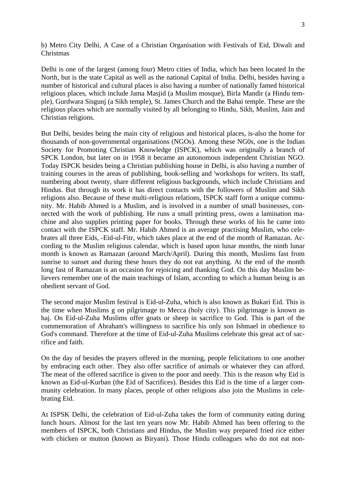b) Metro City Delhi, A Case of a Christian Organisation with Festivals of Eid, Diwali and Christmas

Delhi is one of the largest (among four) Metro cities of India, which has been located In the North, but is the state Capital as well as the national Capital of India. Delhi, besides having a number of historical and cultural places is also having a number of nationally famed historical religious places, which include Jama Masjid (a Muslim mosque), Birla Mandir (a Hindu temple), Gurdwara Sisgunj (a Sikh temple), St. James Church and the Bahai temple. These are the religious places which are normally visited by all belonging to Hindu, Sikh, Muslim, Jain and Christian religions.

But Delhi, besides being the main city of religious and historical places, is-also the home for thousands of non-governmental organisations (NGOs). Among these NG0s, one is the Indian Society for Promoting Christian Knowledge (ISPCK), which was originally a branch of SPCK London, but later on in 1958 it became an autonomous independent Christian NGO. Today ISPCK besides being a Christian publishing house in Delhi, is also having a number of training courses in the areas of publishing, book-selling and 'workshops for writers. Its staff, numbering about twenty, share different religious backgrounds, which include Christians and Hindus. But through its work it has direct contacts with the followers of Muslim and Sikh religions also. Because of these multi-religious relations, ISPCK staff form a unique community. Mr. Habib Ahmed is a Muslim, and is involved in a number of small businesses, connected with the work of publishing. He runs a small printing press, owns a lamination machine and also supplies printing paper for books. Through these works of his he came into contact with the ISPCK staff. Mr. Habib Ahmed is an average practising Muslim, who celebrates all three Eids, -Eid-ul-Fitr, which takes place at the end of the month of Ramazan. According to the Muslim religious calendar, which is based upon lunar months, the ninth lunar month is known as Ramazan (around March/April). During this month, Muslims fast from sunrise to sunset and during these hours they do not eat anything. At the end of the month long fast of Ramazan is an occasion for rejoicing and thanking God. On this day Muslim believers remember one of the main teachings of Islam, according to which a human being is an obedient servant of God.

The second major Muslim festival is Eid-ul-Zuha, which is also known as Bukari Eid. This is the time when Muslims g on pilgrimage to Mecca (holy city). This pilgrimage is known as haj. On Eid-ul-Zuha Muslims offer goats or sheep in sacrifice to God. This is part of the commemoration of Abraham's willingness to sacrifice his only son Ishmael in obedience to God's command. Therefore at the time of Eid-ul-Zuha Muslims celebrate this great act of sacrifice and faith.

On the day of besides the prayers offered in the morning, people felicitations to one another by embracing each other. They also offer sacrifice of animals or whatever they can afford. The meat of the offered sacrifice is given to the poor and needy. This is the reason why Eid is known as Eid-ul-Kurban (the Eid of Sacrifices). Besides this Eid is the time of a larger community celebration. In many places, people of other religions also join the Muslims in celebrating Eid.

At ISPSK Delhi, the celebration of Eid-ul-Zuha takes the form of community eating during lunch hours. Almost for the last ten years now Mr. Habib Ahmed has been offering to the members of ISPCK, both Christians and Hindus, the Muslim way prepared fried rice either with chicken or mutton (known as Biryani). Those Hindu colleagues who do not eat non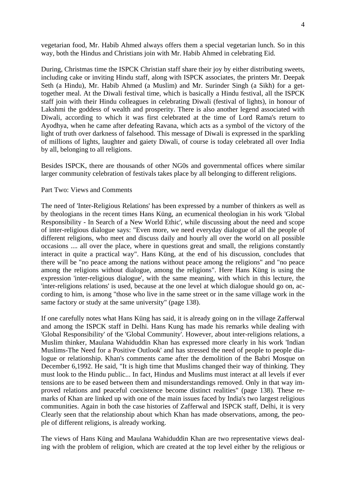vegetarian food, Mr. Habib Ahmed always offers them a special vegetarian lunch. So in this way, both the Hindus and Christians join with Mr. Habib Ahmed in celebrating Eid.

During, Christmas time the ISPCK Christian staff share their joy by either distributing sweets, including cake or inviting Hindu staff, along with ISPCK associates, the printers Mr. Deepak Seth (a Hindu), Mr. Habib Ahmed (a Muslim) and Mr. Surinder Singh (a Sikh) for a gettogether meal. At the Diwali festival time, which is basically a Hindu festival, all the ISPCK staff join with their Hindu colleagues in celebrating Diwali (festival of lights), in honour of Lakshmi the goddess of wealth and prosperity. There is also another legend associated with Diwali, according to which it was first celebrated at the time of Lord Rama's return to Ayodhya, when he came after defeating Ravana, which acts as a symbol of the victory of the light of truth over darkness of falsehood. This message of Diwali is expressed in the sparkling of millions of lights, laughter and gaiety Diwali, of course is today celebrated all over India by all, belonging to all religions.

Besides ISPCK, there are thousands of other NG0s and governmental offices where similar larger community celebration of festivals takes place by all belonging to different religions.

#### Part Two: Views and Comments

The need of 'Inter-Religious Relations' has been expressed by a number of thinkers as well as by theologians in the recent times Hans Küng, an ecumenical theologian in his work 'Global Responsibility - In Search of a New World Ethic', while discussing about the need and scope of inter-religious dialogue says: "Even more, we need everyday dialogue of all the people of different religions, who meet and discuss daily and hourly all over the world on all possible occasions .... all over the place, where in questions great and small, the religions constantly interact in quite a practical way". Hans Küng, at the end of his discussion, concludes that there will be "no peace among the nations without peace among the religions" and "no peace among the religions without dialogue, among the religions". Here Hans Küng is using the expression 'inter-religious dialogue', with the same meaning, with which in this lecture, the 'inter-religions relations' is used, because at the one level at which dialogue should go on, according to him, is among "those who live in the same street or in the same village work in the same factory or study at the same university" (page 138).

If one carefully notes what Hans Küng has said, it is already going on in the village Zafferwal and among the ISPCK staff in Delhi. Hans Kung has made his remarks while dealing with 'Global Responsibility' of the 'Global Community'. However, about inter-religions relations, a Muslim thinker, Maulana Wahiduddin Khan has expressed more clearly in his work 'Indian Muslims-The Need for a Positive Outlook' and has stressed the need of people to people dialogue or relationship. Khan's comments came after the demolition of the Babri Mosque on December 6,1992. He said, "It is high time that Muslims changed their way of thinking. They must look to the Hindu public... In fact, Hindus and Muslims must interact at all levels if ever tensions are to be eased between them and misunderstandings removed. Only in that way improved relations and peaceful coexistence become distinct realities" (page 138). These remarks of Khan are linked up with one of the main issues faced by India's two largest religious communities. Again in both the case histories of Zafferwal and ISPCK staff, Delhi, it is very Clearly seen that the relationship about which Khan has made observations, among, the people of different religions, is already working.

The views of Hans Küng and Maulana Wahiduddin Khan are two representative views dealing with the problem of religion, which are created at the top level either by the religious or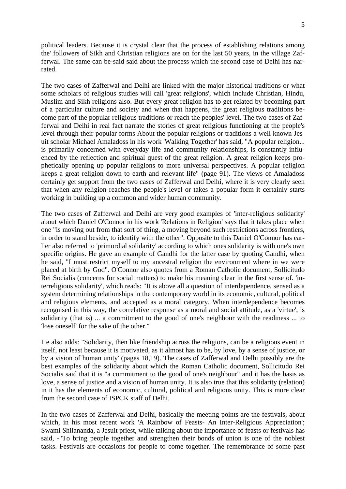political leaders. Because it is crystal clear that the process of establishing relations among the' followers of Sikh and Christian religions are on for the last 50 years, in the village Zafferwal. The same can be-said said about the process which the second case of Delhi has narrated.

The two cases of Zafferwal and Delhi are linked with the major historical traditions or what some scholars of religious studies will call 'great religions', which include Christian, Hindu, Muslim and Sikh religions also. But every great religion has to get related by becoming part of a particular culture and society and when that happens, the great religious traditions become part of the popular religious traditions or reach the peoples' level. The two cases of Zafferwal and Delhi in real fact narrate the stories of great religious functioning at the people's level through their popular forms About the popular religions or traditions a well known Jesuit scholar Michael Amaladoss in his work 'Walking Together' has said, "A popular religion... is primarily concerned with everyday life and community relationships, is constantly influenced by the reflection and spiritual quest of the great religion. A great religion keeps prophetically opening up popular religions to more universal perspectives. A popular religion keeps a great religion down to earth and relevant life" (page 91). The views of Amaladoss certainly get support from the two cases of Zafferwal and Delhi, where it is very clearly seen that when any religion reaches the people's level or takes a popular form it certainly starts working in building up a common and wider human community.

The two cases of Zafferwal and Delhi are very good examples of 'inter-religious solidarity' about which Daniel O'Connor in his work 'Relations in Religion' says that it takes place when one "is moving out from that sort of thing, a moving beyond such restrictions across frontiers, in order to stand beside, to identify with the other". Opposite to this Daniel O'Connor has earlier also referred to 'primordial solidarity' according to which ones solidarity is with one's own specific origins. He gave an example of Gandhi for the latter case by quoting Gandhi, when he said, "I must restrict myself to my ancestral religion the environment where in we were placed at birth by God". O'Connor also quotes from a Roman Catholic document, Sollicitudo Rei Socialis (concerns for social matters) to make his meaning clear in the first sense of. 'interreligious solidarity', which reads: "It is above all a question of interdependence, sensed as a system determining relationships in the contemporary world in its economic, cultural, political and religious elements, and accepted as a moral category. When interdependence becomes recognised in this way, the correlative response as a moral and social attitude, as a 'virtue', is solidarity (that is) ... a commitment to the good of one's neighbour with the readiness ... to 'lose oneself' for the sake of the other."

He also adds: "Solidarity, then like friendship across the religions, can be a religious event in itself, not least because it is motivated, as it almost has to be, by love, by a sense of justice, or by a vision of human unity' (pages 18,19). The cases of Zafferwal and Delhi possibly are the best examples of the solidarity about which the Roman Catholic document, Sollicitudo Rei Socialis said that it is "a commitment to the good of one's neighbour" and it has the basis as love, a sense of justice and a vision of human unity. It is also true that this solidarity (relation) in it has the elements of economic, cultural, political and religious unity. This is more clear from the second case of ISPCK staff of Delhi.

In the two cases of Zafferwal and Delhi, basically the meeting points are the festivals, about which, in his most recent work 'A Rainbow of Feasts- An Inter-Religious Appreciation'; Swami Shilananda, a Jesuit priest, while talking about the importance of feasts or festivals has said, -"To bring people together and strengthen their bonds of union is one of the noblest tasks. Festivals are occasions for people to come together. The remembrance of some past